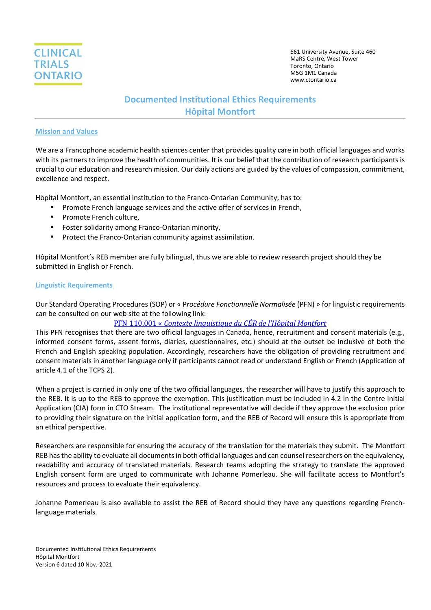

# **Documented Institutional Ethics Requirements Hôpital Montfort**

#### **Mission and Values**

We are a Francophone academic health sciences center that provides quality care in both official languages and works with its partners to improve the health of communities. It is our belief that the contribution of research participants is crucial to our education and research mission. Our daily actions are guided by the values of compassion, commitment, excellence and respect.

Hôpital Montfort, an essential institution to the Franco-Ontarian Community, has to:

- Promote French language services and the active offer of services in French,
- Promote French culture,
- Foster solidarity among Franco-Ontarian minority,
- Protect the Franco-Ontarian community against assimilation.

Hôpital Montfort's REB member are fully bilingual, thus we are able to review research project should they be submitted in English or French.

#### **Linguistic Requirements**

Our Standard Operating Procedures (SOP) or « P*rocédure Fonctionnelle Normalisée* (PFN) » for linguistic requirements can be consulted on our web site at the following link:

# PFN 110.001 « *Contexte linguistique du CÉR de l'Hôpital Montfort*

This PFN recognises that there are two official languages in Canada, hence, recruitment and consent materials (e.g., informed consent forms, assent forms, diaries, questionnaires, etc.) should at the outset be inclusive of both the French and English speaking population. Accordingly, researchers have the obligation of providing recruitment and consent materials in another language only if participants cannot read or understand English or French (Application of article 4.1 of the TCPS 2).

When a project is carried in only one of the two official languages, the researcher will have to justify this approach to the REB. It is up to the REB to approve the exemption. This justification must be included in 4.2 in the Centre Initial Application (CIA) form in CTO Stream. The institutional representative will decide if they approve the exclusion prior to providing their signature on the initial application form, and the REB of Record will ensure this is appropriate from an ethical perspective.

Researchers are responsible for ensuring the accuracy of the translation for the materials they submit. The Montfort REB has the ability to evaluate all documents in both official languages and can counsel researchers on the equivalency, readability and accuracy of translated materials. Research teams adopting the strategy to translate the approved English consent form are urged to communicate with Johanne Pomerleau. She will facilitate access to Montfort's resources and process to evaluate their equivalency.

Johanne Pomerleau is also available to assist the REB of Record should they have any questions regarding Frenchlanguage materials.

Documented Institutional Ethics Requirements Hôpital Montfort Version 6 dated 10 Nov.-2021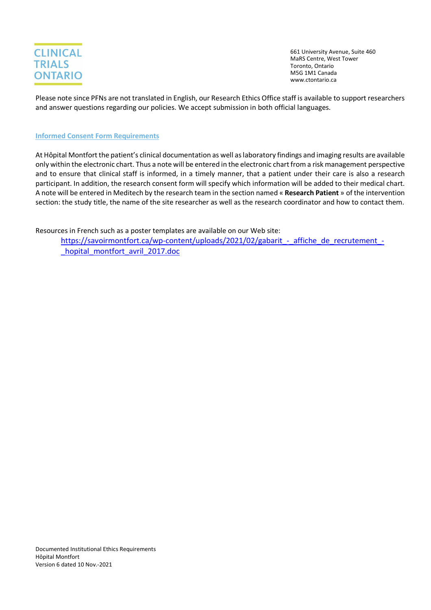

Please note since PFNs are not translated in English, our Research Ethics Office staff is available to support researchers and answer questions regarding our policies. We accept submission in both official languages.

# **Informed Consent Form Requirements**

At Hôpital Montfort the patient's clinical documentation as well as laboratory findings and imaging results are available only within the electronic chart. Thus a note will be entered in the electronic chart from a risk management perspective and to ensure that clinical staff is informed, in a timely manner, that a patient under their care is also a research participant. In addition, the research consent form will specify which information will be added to their medical chart. A note will be entered in Meditech by the research team in the section named « **Research Patient** » of the intervention section: the study title, the name of the site researcher as well as the research coordinator and how to contact them.

Resources in French such as a poster templates are available on our Web site:

https://savoirmontfort.ca/wp-content/uploads/2021/02/gabarit - affiche de recrutement hopital\_montfort\_avril\_2017.doc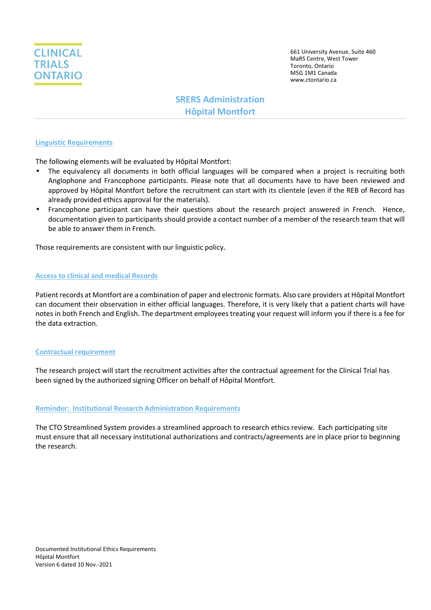

# **SRERS Administration Hôpital Montfort**

#### **Linguistic Requirements**

The following elements will be evaluated by Hôpital Montfort:

- The equivalency all documents in both official languages will be compared when a project is recruiting both Anglophone and Francophone participants. Please note that all documents have to have been reviewed and approved by Hôpital Montfort before the recruitment can start with its clientele (even if the REB of Record has already provided ethics approval for the materials).
- Francophone participant can have their questions about the research project answered in French. Hence, documentation given to participants should provide a contact number of a member of the research team that will be able to answer them in French.

Those requirements are consistent with our linguistic policy.

#### **Access to clinical and medical Records**

Patient records at Montfort are a combination of paper and electronic formats. Also care providers at Hôpital Montfort can document their observation in either official languages. Therefore, it is very likely that a patient charts will have notes in both French and English. The department employees treating your request will inform you if there is a fee for the data extraction.

#### **Contractual requirement**

The research project will start the recruitment activities after the contractual agreement for the Clinical Trial has been signed by the authorized signing Officer on behalf of Hôpital Montfort.

#### **Reminder: Institutional Research Administration Requirements**

The CTO Streamlined System provides a streamlined approach to research ethics review. Each participating site must ensure that all necessary institutional authorizations and contracts/agreements are in place prior to beginning the research.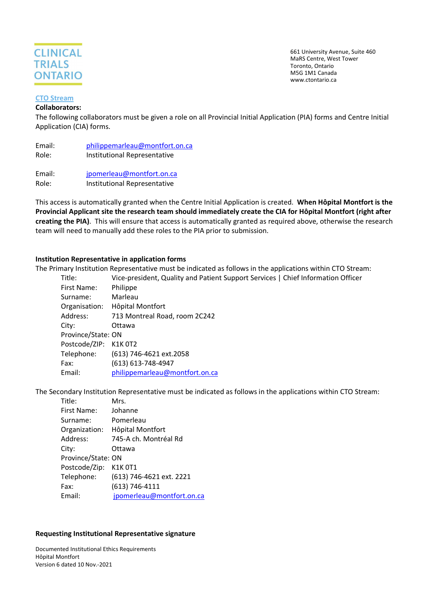

#### **CTO Stream**

#### **Collaborators:**

The following collaborators must be given a role on all Provincial Initial Application (PIA) forms and Centre Initial Application (CIA) forms.

| Email: | philippemarleau@montfort.on.ca |
|--------|--------------------------------|
| Role:  | Institutional Representative   |
|        |                                |

Email: jpomerleau@montfort.on.ca Role: Institutional Representative

This access is automatically granted when the Centre Initial Application is created. **When Hôpital Montfort is the Provincial Applicant site the research team should immediately create the CIA for Hôpital Montfort (right after creating the PIA)**. This will ensure that access is automatically granted as required above, otherwise the research team will need to manually add these roles to the PIA prior to submission.

### **Institution Representative in application forms**

The Primary Institution Representative must be indicated as follows in the applications within CTO Stream:

| Title:                | Vice-president, Quality and Patient Support Services   Chief Information Officer |
|-----------------------|----------------------------------------------------------------------------------|
| First Name:           | Philippe                                                                         |
| Surname:              | Marleau                                                                          |
| Organisation:         | Hôpital Montfort                                                                 |
| Address:              | 713 Montreal Road, room 2C242                                                    |
| City:                 | Ottawa                                                                           |
| Province/State: ON    |                                                                                  |
| Postcode/ZIP: K1K 0T2 |                                                                                  |
| Telephone:            | (613) 746-4621 ext.2058                                                          |
| Fax:                  | (613) 613-748-4947                                                               |
| Email:                | philippemarleau@montfort.on.ca                                                   |
|                       |                                                                                  |

The Secondary Institution Representative must be indicated as follows in the applications within CTO Stream:

| Mrs.                      |  |  |  |
|---------------------------|--|--|--|
| Johanne                   |  |  |  |
| Pomerleau                 |  |  |  |
| Hôpital Montfort          |  |  |  |
| 745-A ch. Montréal Rd     |  |  |  |
| Ottawa                    |  |  |  |
| Province/State: ON        |  |  |  |
| K1K 0T1                   |  |  |  |
| (613) 746-4621 ext. 2221  |  |  |  |
| $(613) 746 - 4111$        |  |  |  |
| jpomerleau@montfort.on.ca |  |  |  |
|                           |  |  |  |

#### **Requesting Institutional Representative signature**

Documented Institutional Ethics Requirements Hôpital Montfort Version 6 dated 10 Nov.-2021